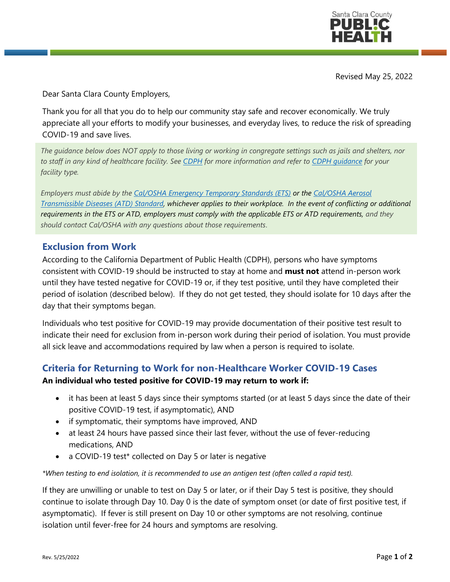

Revised May 25, 2022

Dear Santa Clara County Employers,

Thank you for all that you do to help our community stay safe and recover economically. We truly appreciate all your efforts to modify your businesses, and everyday lives, to reduce the risk of spreading COVID-19 and save lives.

*The guidance below does NOT apply to those living or working in congregate settings such as jails and shelters, nor to staff in any kind of healthcare facility. See [CDPH](https://www.cdph.ca.gov/Programs/CID/DCDC/Pages/COVID-19/Guidance-on-Isolation-and-Quarantine-for-COVID-19-Contact-Tracing.aspx) for more information and refer to [CDPH guidance](https://www.cdph.ca.gov/Programs/CID/DCDC/Pages/Guidance.aspx) for your facility type.*

*Employers must abide by the [Cal/OSHA Emergency Temporary Standards \(ETS\)](https://www.dir.ca.gov/dosh/coronavirus/ETS.html) or th[e Cal/OSHA Aerosol](https://www.dir.ca.gov/dosh/dosh_publications/ATD-Guide.pdf)  [Transmissible Diseases \(ATD\) Standard,](https://www.dir.ca.gov/dosh/dosh_publications/ATD-Guide.pdf) whichever applies to their workplace. In the event of conflicting or additional requirements in the ETS or ATD, employers must comply with the applicable ETS or ATD requirements, and they should contact Cal/OSHA with any questions about those requirements*.

## **Exclusion from Work**

According to the California Department of Public Health (CDPH), persons who have symptoms consistent with COVID-19 should be instructed to stay at home and **must not** attend in-person work until they have tested negative for COVID-19 or, if they test positive, until they have completed their period of isolation (described below). If they do not get tested, they should isolate for 10 days after the day that their symptoms began.

Individuals who test positive for COVID-19 may provide documentation of their positive test result to indicate their need for exclusion from in-person work during their period of isolation. You must provide all sick leave and accommodations required by law when a person is required to isolate.

## **Criteria for Returning to Work for non-Healthcare Worker COVID-19 Cases**

#### **An individual who tested positive for COVID-19 may return to work if:**

- it has been at least 5 days since their symptoms started (or at least 5 days since the date of their positive COVID-19 test, if asymptomatic), AND
- if symptomatic, their symptoms have improved, AND
- at least 24 hours have passed since their last fever, without the use of fever-reducing medications, AND
- a COVID-19 test\* collected on Day 5 or later is negative

*\*When testing to end isolation, it is recommended to use an antigen test (often called a rapid test).*

If they are unwilling or unable to test on Day 5 or later, or if their Day 5 test is positive, they should continue to isolate through Day 10. Day 0 is the date of symptom onset (or date of first positive test, if asymptomatic). If fever is still present on Day 10 or other symptoms are not resolving, continue isolation until fever-free for 24 hours and symptoms are resolving.